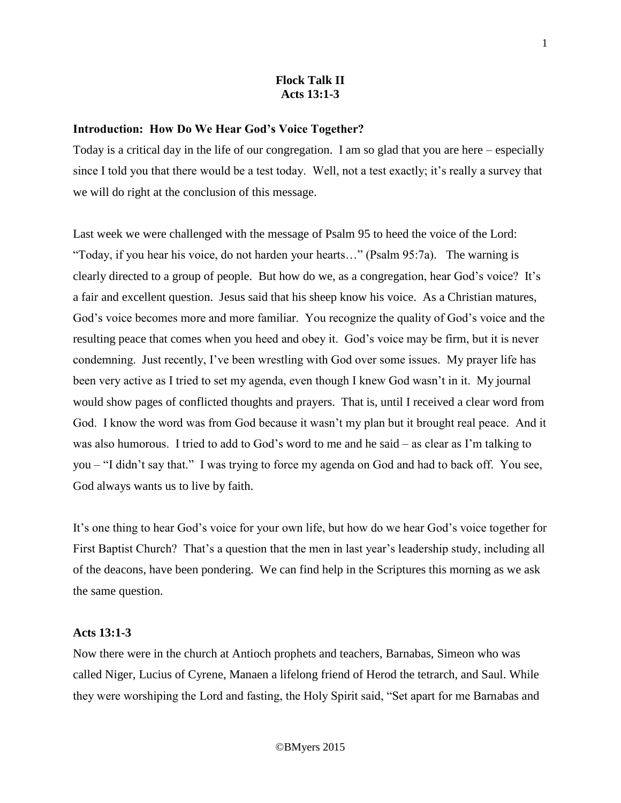# **Flock Talk II Acts 13:1-3**

### **Introduction: How Do We Hear God's Voice Together?**

Today is a critical day in the life of our congregation. I am so glad that you are here – especially since I told you that there would be a test today. Well, not a test exactly; it's really a survey that we will do right at the conclusion of this message.

Last week we were challenged with the message of Psalm 95 to heed the voice of the Lord: "Today, if you hear his voice, do not harden your hearts…" (Psalm 95:7a). The warning is clearly directed to a group of people. But how do we, as a congregation, hear God's voice? It's a fair and excellent question. Jesus said that his sheep know his voice. As a Christian matures, God's voice becomes more and more familiar. You recognize the quality of God's voice and the resulting peace that comes when you heed and obey it. God's voice may be firm, but it is never condemning. Just recently, I've been wrestling with God over some issues. My prayer life has been very active as I tried to set my agenda, even though I knew God wasn't in it. My journal would show pages of conflicted thoughts and prayers. That is, until I received a clear word from God. I know the word was from God because it wasn't my plan but it brought real peace. And it was also humorous. I tried to add to God's word to me and he said – as clear as I'm talking to you – "I didn't say that." I was trying to force my agenda on God and had to back off. You see, God always wants us to live by faith.

It's one thing to hear God's voice for your own life, but how do we hear God's voice together for First Baptist Church? That's a question that the men in last year's leadership study, including all of the deacons, have been pondering. We can find help in the Scriptures this morning as we ask the same question.

# **Acts 13:1-3**

Now there were in the church at Antioch prophets and teachers, Barnabas, Simeon who was called Niger, Lucius of Cyrene, Manaen a lifelong friend of Herod the tetrarch, and Saul. While they were worshiping the Lord and fasting, the Holy Spirit said, "Set apart for me Barnabas and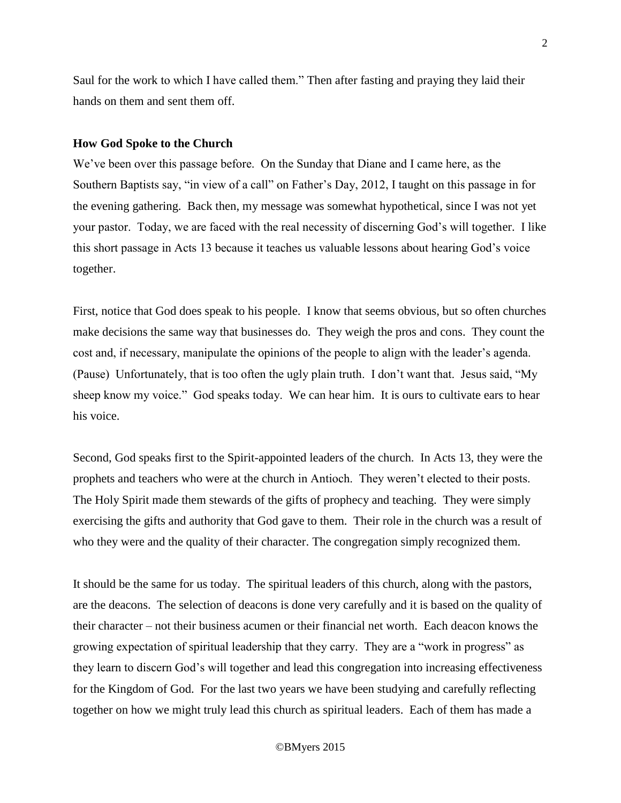Saul for the work to which I have called them." Then after fasting and praying they laid their hands on them and sent them off.

#### **How God Spoke to the Church**

We've been over this passage before. On the Sunday that Diane and I came here, as the Southern Baptists say, "in view of a call" on Father's Day, 2012, I taught on this passage in for the evening gathering. Back then, my message was somewhat hypothetical, since I was not yet your pastor. Today, we are faced with the real necessity of discerning God's will together. I like this short passage in Acts 13 because it teaches us valuable lessons about hearing God's voice together.

First, notice that God does speak to his people. I know that seems obvious, but so often churches make decisions the same way that businesses do. They weigh the pros and cons. They count the cost and, if necessary, manipulate the opinions of the people to align with the leader's agenda. (Pause) Unfortunately, that is too often the ugly plain truth. I don't want that. Jesus said, "My sheep know my voice." God speaks today. We can hear him. It is ours to cultivate ears to hear his voice.

Second, God speaks first to the Spirit-appointed leaders of the church. In Acts 13, they were the prophets and teachers who were at the church in Antioch. They weren't elected to their posts. The Holy Spirit made them stewards of the gifts of prophecy and teaching. They were simply exercising the gifts and authority that God gave to them. Their role in the church was a result of who they were and the quality of their character. The congregation simply recognized them.

It should be the same for us today. The spiritual leaders of this church, along with the pastors, are the deacons. The selection of deacons is done very carefully and it is based on the quality of their character – not their business acumen or their financial net worth. Each deacon knows the growing expectation of spiritual leadership that they carry. They are a "work in progress" as they learn to discern God's will together and lead this congregation into increasing effectiveness for the Kingdom of God. For the last two years we have been studying and carefully reflecting together on how we might truly lead this church as spiritual leaders. Each of them has made a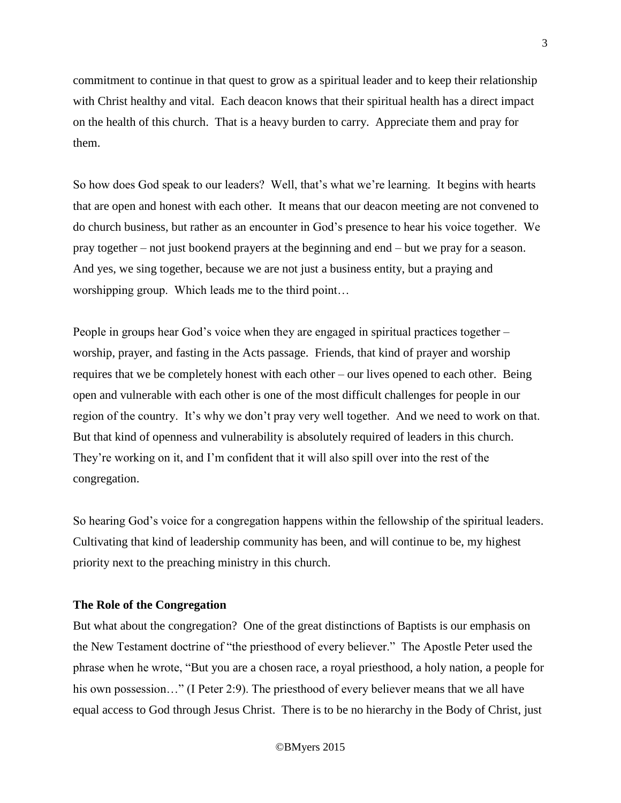commitment to continue in that quest to grow as a spiritual leader and to keep their relationship with Christ healthy and vital. Each deacon knows that their spiritual health has a direct impact on the health of this church. That is a heavy burden to carry. Appreciate them and pray for them.

So how does God speak to our leaders? Well, that's what we're learning. It begins with hearts that are open and honest with each other. It means that our deacon meeting are not convened to do church business, but rather as an encounter in God's presence to hear his voice together. We pray together – not just bookend prayers at the beginning and end – but we pray for a season. And yes, we sing together, because we are not just a business entity, but a praying and worshipping group. Which leads me to the third point…

People in groups hear God's voice when they are engaged in spiritual practices together – worship, prayer, and fasting in the Acts passage. Friends, that kind of prayer and worship requires that we be completely honest with each other – our lives opened to each other. Being open and vulnerable with each other is one of the most difficult challenges for people in our region of the country. It's why we don't pray very well together. And we need to work on that. But that kind of openness and vulnerability is absolutely required of leaders in this church. They're working on it, and I'm confident that it will also spill over into the rest of the congregation.

So hearing God's voice for a congregation happens within the fellowship of the spiritual leaders. Cultivating that kind of leadership community has been, and will continue to be, my highest priority next to the preaching ministry in this church.

## **The Role of the Congregation**

But what about the congregation? One of the great distinctions of Baptists is our emphasis on the New Testament doctrine of "the priesthood of every believer." The Apostle Peter used the phrase when he wrote, "But you are a chosen race, a royal priesthood, a holy nation, a people for his own possession..." (I Peter 2:9). The priesthood of every believer means that we all have equal access to God through Jesus Christ. There is to be no hierarchy in the Body of Christ, just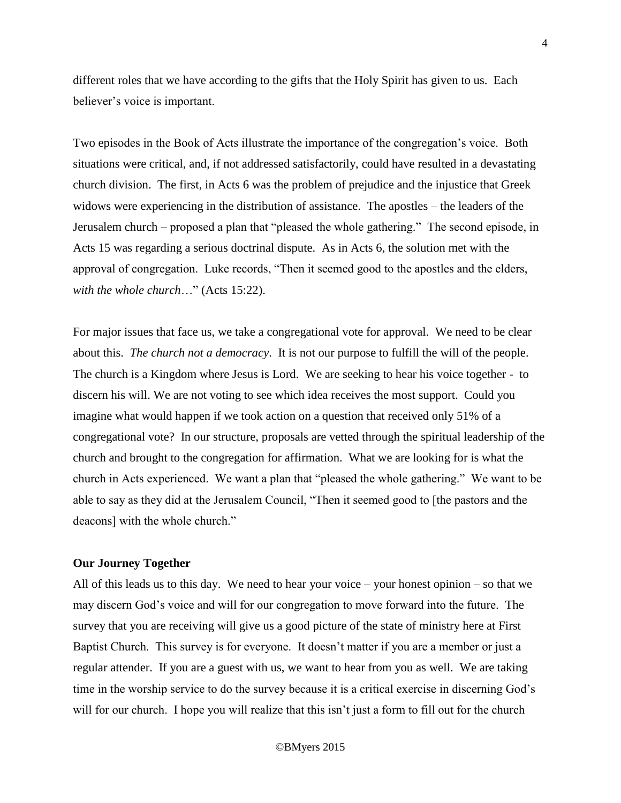different roles that we have according to the gifts that the Holy Spirit has given to us. Each believer's voice is important.

Two episodes in the Book of Acts illustrate the importance of the congregation's voice. Both situations were critical, and, if not addressed satisfactorily, could have resulted in a devastating church division. The first, in Acts 6 was the problem of prejudice and the injustice that Greek widows were experiencing in the distribution of assistance. The apostles – the leaders of the Jerusalem church – proposed a plan that "pleased the whole gathering." The second episode, in Acts 15 was regarding a serious doctrinal dispute. As in Acts 6, the solution met with the approval of congregation. Luke records, "Then it seemed good to the apostles and the elders, *with the whole church*…" (Acts 15:22).

For major issues that face us, we take a congregational vote for approval. We need to be clear about this. *The church not a democracy*. It is not our purpose to fulfill the will of the people. The church is a Kingdom where Jesus is Lord. We are seeking to hear his voice together - to discern his will. We are not voting to see which idea receives the most support. Could you imagine what would happen if we took action on a question that received only 51% of a congregational vote? In our structure, proposals are vetted through the spiritual leadership of the church and brought to the congregation for affirmation. What we are looking for is what the church in Acts experienced. We want a plan that "pleased the whole gathering." We want to be able to say as they did at the Jerusalem Council, "Then it seemed good to [the pastors and the deacons] with the whole church."

## **Our Journey Together**

All of this leads us to this day. We need to hear your voice – your honest opinion – so that we may discern God's voice and will for our congregation to move forward into the future. The survey that you are receiving will give us a good picture of the state of ministry here at First Baptist Church. This survey is for everyone. It doesn't matter if you are a member or just a regular attender. If you are a guest with us, we want to hear from you as well. We are taking time in the worship service to do the survey because it is a critical exercise in discerning God's will for our church. I hope you will realize that this isn't just a form to fill out for the church